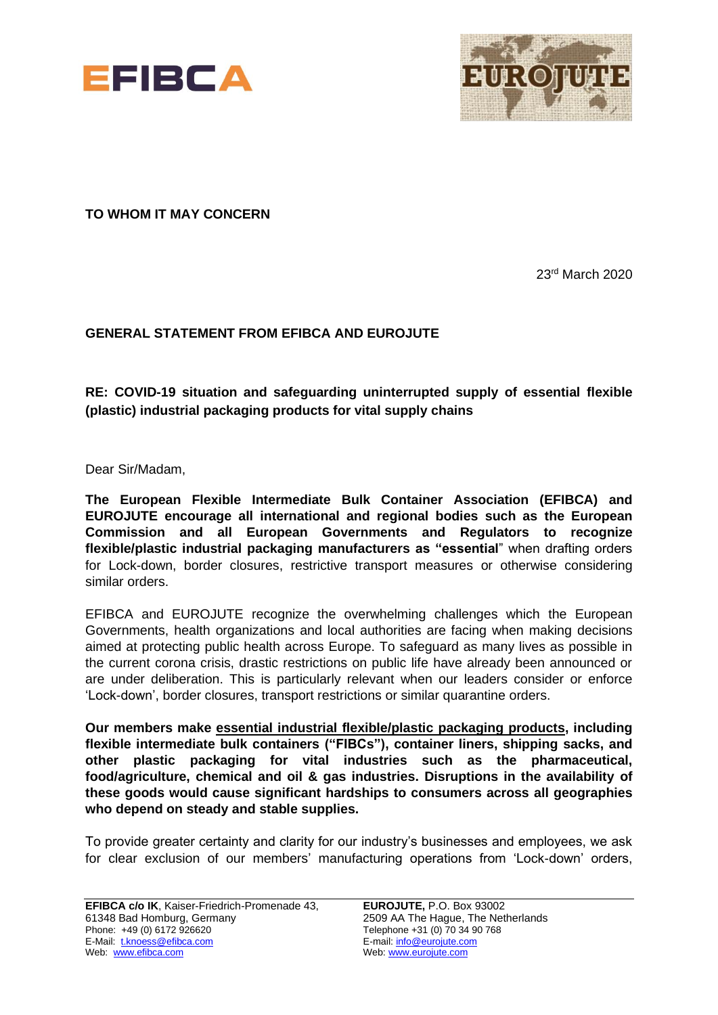



**TO WHOM IT MAY CONCERN**

23rd March 2020

## **GENERAL STATEMENT FROM EFIBCA AND EUROJUTE**

**RE: COVID-19 situation and safeguarding uninterrupted supply of essential flexible (plastic) industrial packaging products for vital supply chains**

Dear Sir/Madam,

**The European Flexible Intermediate Bulk Container Association (EFIBCA) and EUROJUTE encourage all international and regional bodies such as the European Commission and all European Governments and Regulators to recognize flexible/plastic industrial packaging manufacturers as "essential**" when drafting orders for Lock-down, border closures, restrictive transport measures or otherwise considering similar orders.

EFIBCA and EUROJUTE recognize the overwhelming challenges which the European Governments, health organizations and local authorities are facing when making decisions aimed at protecting public health across Europe. To safeguard as many lives as possible in the current corona crisis, drastic restrictions on public life have already been announced or are under deliberation. This is particularly relevant when our leaders consider or enforce 'Lock-down', border closures, transport restrictions or similar quarantine orders.

**Our members make essential industrial flexible/plastic packaging products, including flexible intermediate bulk containers ("FIBCs"), container liners, shipping sacks, and other plastic packaging for vital industries such as the pharmaceutical, food/agriculture, chemical and oil & gas industries. Disruptions in the availability of these goods would cause significant hardships to consumers across all geographies who depend on steady and stable supplies.**

To provide greater certainty and clarity for our industry's businesses and employees, we ask for clear exclusion of our members' manufacturing operations from 'Lock-down' orders,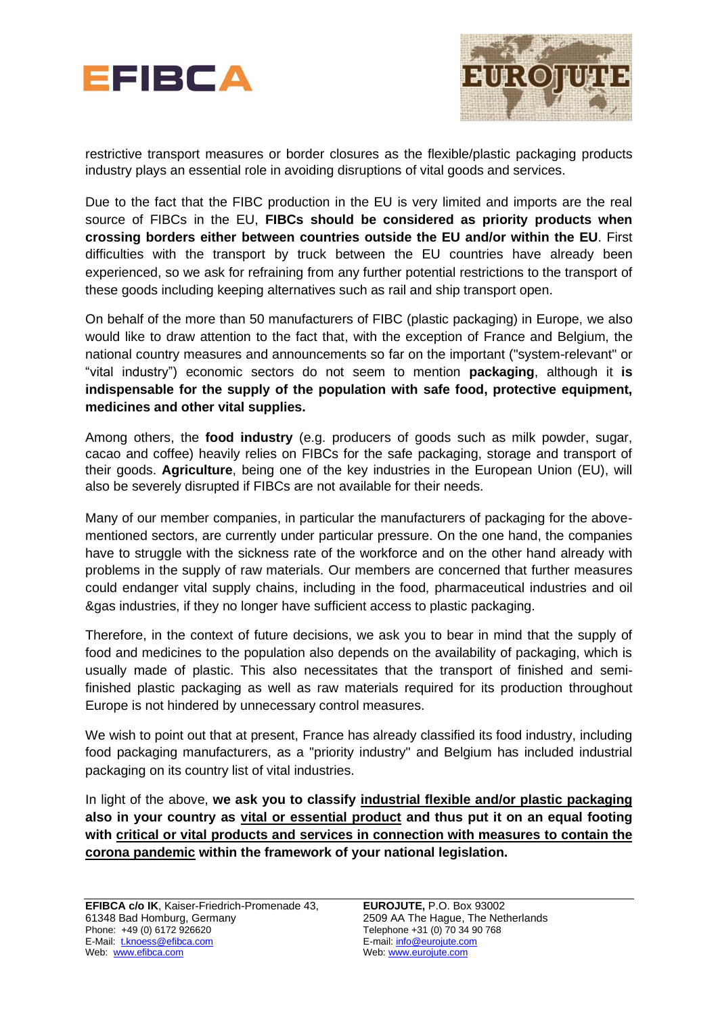



restrictive transport measures or border closures as the flexible/plastic packaging products industry plays an essential role in avoiding disruptions of vital goods and services.

Due to the fact that the FIBC production in the EU is very limited and imports are the real source of FIBCs in the EU, **FIBCs should be considered as priority products when crossing borders either between countries outside the EU and/or within the EU**. First difficulties with the transport by truck between the EU countries have already been experienced, so we ask for refraining from any further potential restrictions to the transport of these goods including keeping alternatives such as rail and ship transport open.

On behalf of the more than 50 manufacturers of FIBC (plastic packaging) in Europe, we also would like to draw attention to the fact that, with the exception of France and Belgium, the national country measures and announcements so far on the important ("system-relevant" or "vital industry") economic sectors do not seem to mention **packaging**, although it **is indispensable for the supply of the population with safe food, protective equipment, medicines and other vital supplies.**

Among others, the **food industry** (e.g. producers of goods such as milk powder, sugar, cacao and coffee) heavily relies on FIBCs for the safe packaging, storage and transport of their goods. **Agriculture**, being one of the key industries in the European Union (EU), will also be severely disrupted if FIBCs are not available for their needs.

Many of our member companies, in particular the manufacturers of packaging for the abovementioned sectors, are currently under particular pressure. On the one hand, the companies have to struggle with the sickness rate of the workforce and on the other hand already with problems in the supply of raw materials. Our members are concerned that further measures could endanger vital supply chains, including in the food, pharmaceutical industries and oil &gas industries, if they no longer have sufficient access to plastic packaging.

Therefore, in the context of future decisions, we ask you to bear in mind that the supply of food and medicines to the population also depends on the availability of packaging, which is usually made of plastic. This also necessitates that the transport of finished and semifinished plastic packaging as well as raw materials required for its production throughout Europe is not hindered by unnecessary control measures.

We wish to point out that at present, France has already classified its food industry, including food packaging manufacturers, as a "priority industry" and Belgium has included industrial packaging on its country list of vital industries.

In light of the above, **we ask you to classify industrial flexible and/or plastic packaging also in your country as vital or essential product and thus put it on an equal footing with critical or vital products and services in connection with measures to contain the corona pandemic within the framework of your national legislation.**